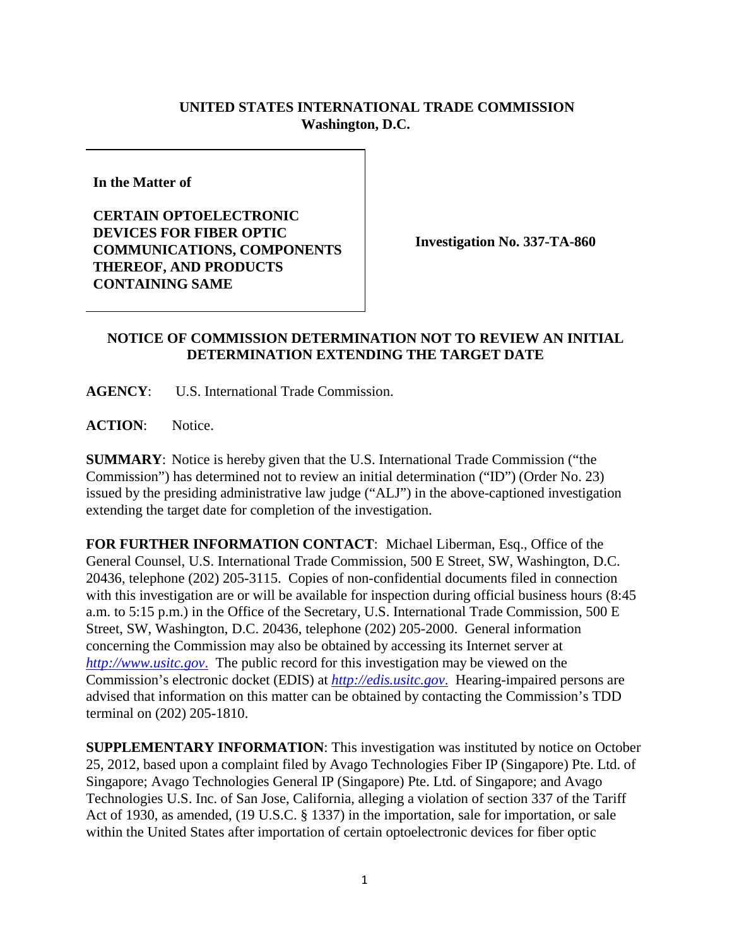## **UNITED STATES INTERNATIONAL TRADE COMMISSION Washington, D.C.**

**In the Matter of**

**CERTAIN OPTOELECTRONIC DEVICES FOR FIBER OPTIC COMMUNICATIONS, COMPONENTS THEREOF, AND PRODUCTS CONTAINING SAME**

**Investigation No. 337-TA-860**

## **NOTICE OF COMMISSION DETERMINATION NOT TO REVIEW AN INITIAL DETERMINATION EXTENDING THE TARGET DATE**

**AGENCY**: U.S. International Trade Commission.

ACTION: Notice.

**SUMMARY**: Notice is hereby given that the U.S. International Trade Commission ("the Commission") has determined not to review an initial determination ("ID") (Order No. 23) issued by the presiding administrative law judge ("ALJ") in the above-captioned investigation extending the target date for completion of the investigation.

**FOR FURTHER INFORMATION CONTACT**: Michael Liberman, Esq., Office of the General Counsel, U.S. International Trade Commission, 500 E Street, SW, Washington, D.C. 20436, telephone (202) 205-3115. Copies of non-confidential documents filed in connection with this investigation are or will be available for inspection during official business hours (8:45) a.m. to 5:15 p.m.) in the Office of the Secretary, U.S. International Trade Commission, 500 E Street, SW, Washington, D.C. 20436, telephone (202) 205-2000. General information concerning the Commission may also be obtained by accessing its Internet server at *http://www.usitc.gov*. The public record for this investigation may be viewed on the Commission's electronic docket (EDIS) at *http://edis.usitc.gov*. Hearing-impaired persons are advised that information on this matter can be obtained by contacting the Commission's TDD terminal on (202) 205-1810.

**SUPPLEMENTARY INFORMATION**: This investigation was instituted by notice on October 25, 2012, based upon a complaint filed by Avago Technologies Fiber IP (Singapore) Pte. Ltd. of Singapore; Avago Technologies General IP (Singapore) Pte. Ltd. of Singapore; and Avago Technologies U.S. Inc. of San Jose, California, alleging a violation of section 337 of the Tariff Act of 1930, as amended, (19 U.S.C. § 1337) in the importation, sale for importation, or sale within the United States after importation of certain optoelectronic devices for fiber optic